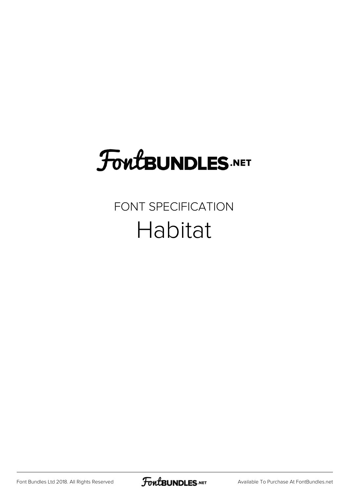# **FoutBUNDLES.NET**

#### FONT SPECIFICATION Habitat

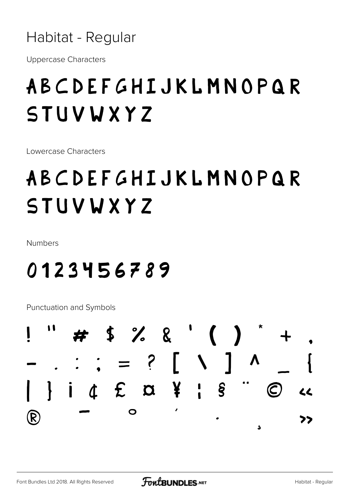Habitat - Regular

**Uppercase Characters** 

# ABCDEFGHIJKLMNOPQR STUVWXYZ

Lowercase Characters

# ABCDEFGHIJKLMNOPQR STUVWXYZ

Numbers

### 0123456789

**Punctuation and Symbols** 

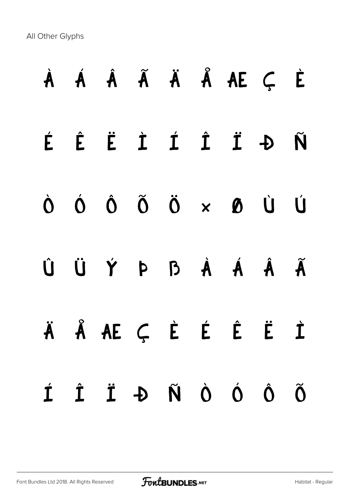All Other Glyphs

# À Á Â Ã Ä Å Æ Ç È É Ê Ë Ì Í Î Ï Ð Ñ Ò Ó Ô Õ Ö × Ø Ù Ú Û Ü Ý Þ ß à á â ã ä å æ ç è é ê ë ì í î ï ð ñ ò ó ô õ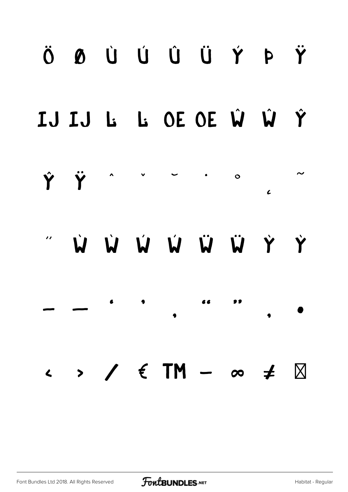# ÖØÙÚŮŮÝÞŸ IJ IJ L: L: OE OE Ŵ Ŵ Ŷ Ϋ́ Ÿ  $\mathbf{o}$  $\epsilon$ W W W W W Y Y  $\begin{array}{c} \n\bullet \text{ } \bullet \text{ } \end{array}$ 66  $\bullet$  $\rightarrow$  /  $\in$  TM  $\infty$   $\neq$   $\boxtimes$  $\blacktriangle$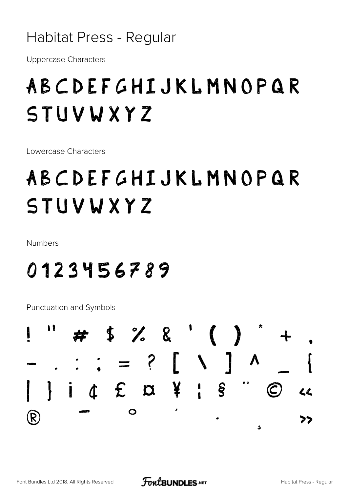#### Habitat Press - Regular

**Uppercase Characters** 

## ABCDEFGHIJKLMNOPQR STUVWXYZ

Lowercase Characters

# ABCDEFGHIJKLMNOPQR STUVWXYZ

**Numbers** 

### 0123456789

**Punctuation and Symbols** 

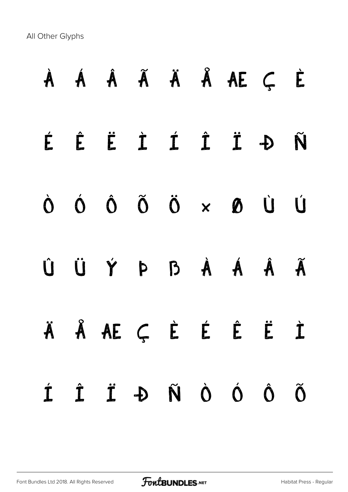All Other Glyphs

|                    |  |  | À Á Â Ã Ä Å Å Æ Ç È                                                                                                                                                                                                                                                                                                                                                                                                                                                                                                                                         |                          |
|--------------------|--|--|-------------------------------------------------------------------------------------------------------------------------------------------------------------------------------------------------------------------------------------------------------------------------------------------------------------------------------------------------------------------------------------------------------------------------------------------------------------------------------------------------------------------------------------------------------------|--------------------------|
|                    |  |  | ÉÊËIÍÎ IÐÑ                                                                                                                                                                                                                                                                                                                                                                                                                                                                                                                                                  |                          |
|                    |  |  | $\begin{matrix} \dot{U} & \dot{U} & \dot{U} & \dot{\Omega} & \dot{\Omega} & \dot{\Omega} & \dot{\Omega} & \dot{\Omega} & \dot{\Omega} & \dot{\Omega} & \dot{\Omega} & \dot{\Omega} & \dot{\Omega} & \dot{\Omega} & \dot{\Omega} & \dot{\Omega} & \dot{\Omega} & \dot{\Omega} & \dot{\Omega} & \dot{\Omega} & \dot{\Omega} & \dot{\Omega} & \dot{\Omega} & \dot{\Omega} & \dot{\Omega} & \dot{\Omega} & \dot{\Omega} & \dot{\Omega} & \dot{\Omega} & \dot{\Omega} & \dot{\Omega} & \dot{\Omega} & \dot{\Omega} & \dot{\Omega} & \dot{\Omega} & \dot{\Omega}$ |                          |
|                    |  |  | Û Ü Ý Þ B À Á Â Ã                                                                                                                                                                                                                                                                                                                                                                                                                                                                                                                                           |                          |
|                    |  |  | ÄÅÆÇĖÉĖËİ                                                                                                                                                                                                                                                                                                                                                                                                                                                                                                                                                   |                          |
| $\dot{\mathbf{I}}$ |  |  | Ô Ó Ó Á L İ                                                                                                                                                                                                                                                                                                                                                                                                                                                                                                                                                 | $\widetilde{\mathbf{O}}$ |